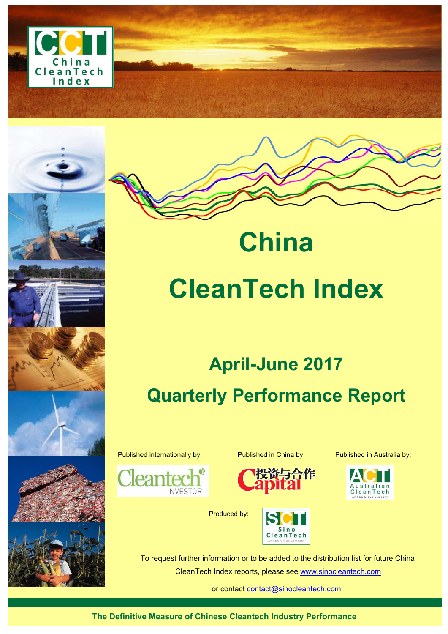



# **China CleanTech Index**

# **April-June 2017 Quarterly Performance Report**

Published internationally by: Published in China by: Published in Australia by:





Produced by:







To request further information or to be added to the distribution list for future China

CleanTech Index reports, please see www.sinocleantech.com

or contact contact@sinocleantech.com

**The Definitive Measure of Chinese Cleantech Industry Performance**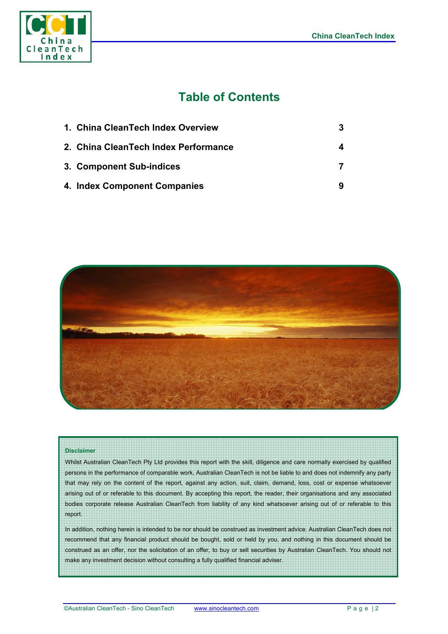

# **Table of Contents**

| 1. China CleanTech Index Overview    |  |
|--------------------------------------|--|
| 2. China CleanTech Index Performance |  |
| 3. Component Sub-indices             |  |
| 4. Index Component Companies         |  |



#### **Disclaimer**

Whilst Australian CleanTech Pty Ltd provides this report with the skill, diligence and care normally exercised by qualified persons in the performance of comparable work, Australian CleanTech is not be liable to and does not indemnify any party that may rely on the content of the report, against any action, suit, claim, demand, loss, cost or expense whatsoever arising out of or referable to this document. By accepting this report, the reader, their organisations and any associated bodies corporate release Australian CleanTech from liability of any kind whatsoever arising out of or referable to this report.

In addition, nothing herein is intended to be nor should be construed as investment advice. Australian CleanTech does not recommend that any financial product should be bought, sold or held by you, and nothing in this document should be construed as an offer, nor the solicitation of an offer, to buy or sell securities by Australian CleanTech. You should not make any investment decision without consulting a fully qualified financial adviser.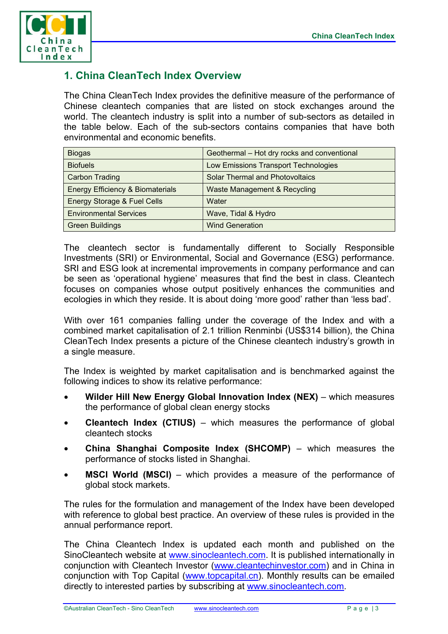

# **1. China CleanTech Index Overview**

The China CleanTech Index provides the definitive measure of the performance of Chinese cleantech companies that are listed on stock exchanges around the world. The cleantech industry is split into a number of sub-sectors as detailed in the table below. Each of the sub-sectors contains companies that have both environmental and economic benefits.

| <b>Biogas</b>                               | Geothermal - Hot dry rocks and conventional |  |  |
|---------------------------------------------|---------------------------------------------|--|--|
| <b>Biofuels</b>                             | Low Emissions Transport Technologies        |  |  |
| <b>Carbon Trading</b>                       | <b>Solar Thermal and Photovoltaics</b>      |  |  |
| <b>Energy Efficiency &amp; Biomaterials</b> | Waste Management & Recycling                |  |  |
| Energy Storage & Fuel Cells                 | Water                                       |  |  |
| <b>Environmental Services</b>               | Wave, Tidal & Hydro                         |  |  |
| <b>Green Buildings</b>                      | <b>Wind Generation</b>                      |  |  |

The cleantech sector is fundamentally different to Socially Responsible Investments (SRI) or Environmental, Social and Governance (ESG) performance. SRI and ESG look at incremental improvements in company performance and can be seen as 'operational hygiene' measures that find the best in class. Cleantech focuses on companies whose output positively enhances the communities and ecologies in which they reside. It is about doing 'more good' rather than 'less bad'.

With over 161 companies falling under the coverage of the Index and with a combined market capitalisation of 2.1 trillion Renminbi (US\$314 billion), the China CleanTech Index presents a picture of the Chinese cleantech industry's growth in a single measure.

The Index is weighted by market capitalisation and is benchmarked against the following indices to show its relative performance:

- **Wilder Hill New Energy Global Innovation Index (NEX)** which measures the performance of global clean energy stocks
- **Cleantech Index (CTIUS)** which measures the performance of global cleantech stocks
- **China Shanghai Composite Index (SHCOMP)** which measures the performance of stocks listed in Shanghai.
- **MSCI World (MSCI)** which provides a measure of the performance of global stock markets.

The rules for the formulation and management of the Index have been developed with reference to global best practice. An overview of these rules is provided in the annual performance report.

The China Cleantech Index is updated each month and published on the SinoCleantech website at www.sinocleantech.com. It is published internationally in conjunction with Cleantech Investor (www.cleantechinvestor.com) and in China in conjunction with Top Capital (www.topcapital.cn). Monthly results can be emailed directly to interested parties by subscribing at www.sinocleantech.com.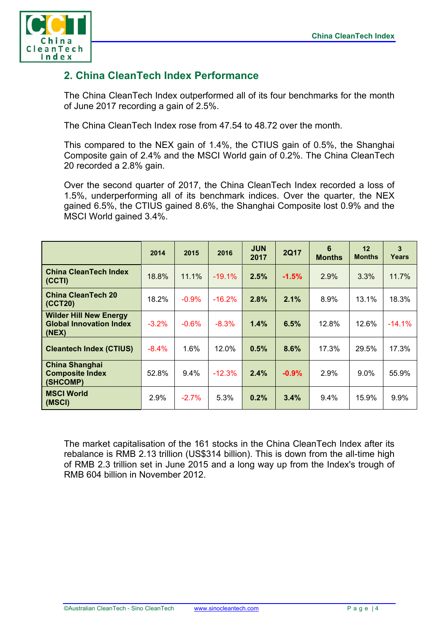

# **2. China CleanTech Index Performance**

The China CleanTech Index outperformed all of its four benchmarks for the month of June 2017 recording a gain of 2.5%.

The China CleanTech Index rose from 47.54 to 48.72 over the month.

This compared to the NEX gain of 1.4%, the CTIUS gain of 0.5%, the Shanghai Composite gain of 2.4% and the MSCI World gain of 0.2%. The China CleanTech 20 recorded a 2.8% gain.

Over the second quarter of 2017, the China CleanTech Index recorded a loss of 1.5%, underperforming all of its benchmark indices. Over the quarter, the NEX gained 6.5%, the CTIUS gained 8.6%, the Shanghai Composite lost 0.9% and the MSCI World gained 3.4%.

|                                                                          | 2014     | 2015    | 2016     | <b>JUN</b><br>2017 | <b>2Q17</b> | 6<br><b>Months</b> | 12<br><b>Months</b> | 3<br>Years |
|--------------------------------------------------------------------------|----------|---------|----------|--------------------|-------------|--------------------|---------------------|------------|
| <b>China CleanTech Index</b><br>(CCTI)                                   | 18.8%    | 11.1%   | $-19.1%$ | 2.5%               | $-1.5%$     | 2.9%               | 3.3%                | 11.7%      |
| <b>China CleanTech 20</b><br>(CCT20)                                     | 18.2%    | $-0.9%$ | $-16.2%$ | 2.8%               | 2.1%        | 8.9%               | 13.1%               | 18.3%      |
| <b>Wilder Hill New Energy</b><br><b>Global Innovation Index</b><br>(NEX) | $-3.2%$  | $-0.6%$ | $-8.3%$  | 1.4%               | 6.5%        | 12.8%              | 12.6%               | $-14.1%$   |
| <b>Cleantech Index (CTIUS)</b>                                           | $-8.4\%$ | 1.6%    | 12.0%    | 0.5%               | 8.6%        | 17.3%              | 29.5%               | 17.3%      |
| <b>China Shanghai</b><br><b>Composite Index</b><br>(SHCOMP)              | 52.8%    | $9.4\%$ | $-12.3%$ | 2.4%               | $-0.9%$     | 2.9%               | $9.0\%$             | 55.9%      |
| <b>MSCI World</b><br>(MSCI)                                              | 2.9%     | $-2.7%$ | 5.3%     | 0.2%               | 3.4%        | $9.4\%$            | 15.9%               | 9.9%       |

The market capitalisation of the 161 stocks in the China CleanTech Index after its rebalance is RMB 2.13 trillion (US\$314 billion). This is down from the all-time high of RMB 2.3 trillion set in June 2015 and a long way up from the Index's trough of RMB 604 billion in November 2012.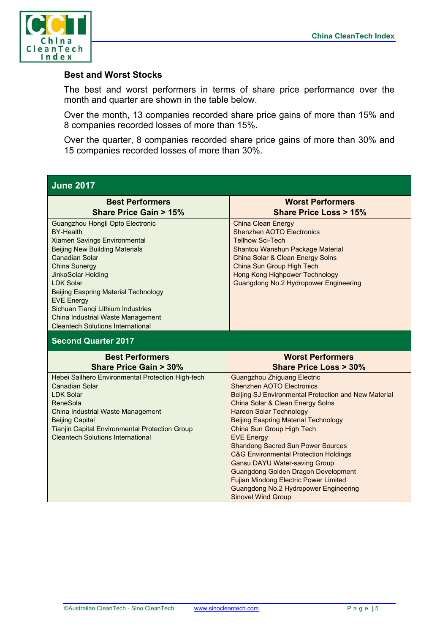

#### **Best and Worst Stocks**

The best and worst performers in terms of share price performance over the month and quarter are shown in the table below.

Over the month, 13 companies recorded share price gains of more than 15% and 8 companies recorded losses of more than 15%.

Over the quarter, 8 companies recorded share price gains of more than 30% and 15 companies recorded losses of more than 30%.

#### **June 2017 Best Performers Share Price Gain > 15% Worst Performers Share Price Loss > 15%**  Guangzhou Hongli Opto Electronic BY-Health Xiamen Savings Environmental Beijing New Building Materials Canadian Solar China Sunergy JinkoSolar Holding LDK Solar Beijing Easpring Material Technology EVE Energy Sichuan Tianqi Lithium Industries China Industrial Waste Management Cleantech Solutions International China Clean Energy Shenzhen AOTO Electronics Tellhow Sci-Tech Shantou Wanshun Package Material China Solar & Clean Energy Solns China Sun Group High Tech Hong Kong Highpower Technology Guangdong No.2 Hydropower Engineering **Second Quarter 2017 Best Performers Share Price Gain > 30% Worst Performers Share Price Loss > 30%**  Hebei Sailhero Environmental Protection High-tech Canadian Solar LDK Solar ReneSola China Industrial Waste Management Beijing Capital Tianjin Capital Environmental Protection Group Cleantech Solutions International Guangzhou Zhiguang Electric Shenzhen AOTO Electronics Beijing SJ Environmental Protection and New Material China Solar & Clean Energy Solns Hareon Solar Technology Beijing Easpring Material Technology China Sun Group High Tech EVE Energy Shandong Sacred Sun Power Sources C&G Environmental Protection Holdings Gansu DAYU Water-saving Group Guangdong Golden Dragon Development Fujian Mindong Electric Power Limited Guangdong No.2 Hydropower Engineering Sinovel Wind Group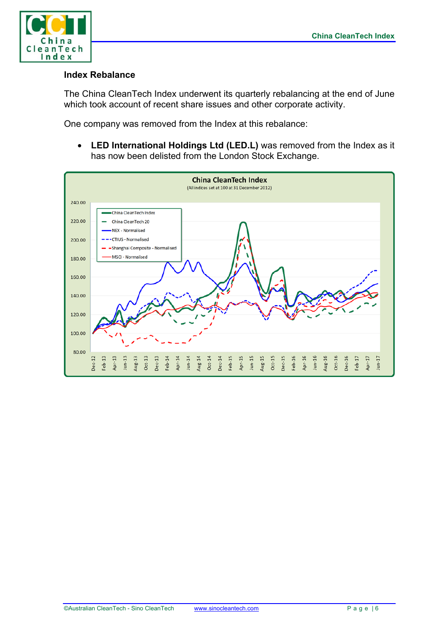

#### **Index Rebalance**

The China CleanTech Index underwent its quarterly rebalancing at the end of June which took account of recent share issues and other corporate activity.

One company was removed from the Index at this rebalance:

• **LED International Holdings Ltd (LED.L)** was removed from the Index as it has now been delisted from the London Stock Exchange.

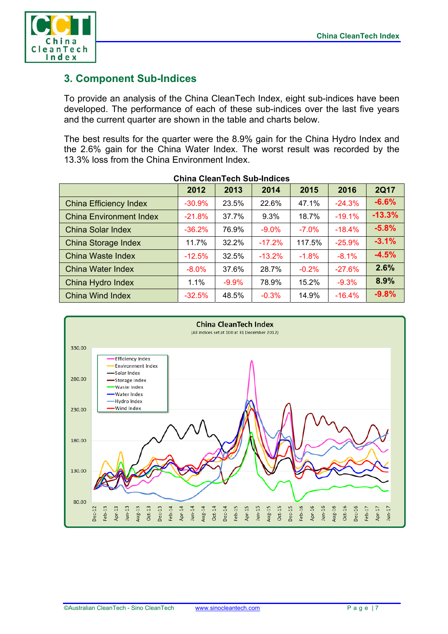

## **3. Component Sub-Indices**

To provide an analysis of the China CleanTech Index, eight sub-indices have been developed. The performance of each of these sub-indices over the last five years and the current quarter are shown in the table and charts below.

The best results for the quarter were the 8.9% gain for the China Hydro Index and the 2.6% gain for the China Water Index. The worst result was recorded by the 13.3% loss from the China Environment Index.

|                                | 2012     | 2013    | 2014     | 2015    | 2016     | <b>2Q17</b> |
|--------------------------------|----------|---------|----------|---------|----------|-------------|
| <b>China Efficiency Index</b>  | $-30.9%$ | 23.5%   | 22.6%    | 47.1%   | $-24.3%$ | $-6.6%$     |
| <b>China Environment Index</b> | $-21.8%$ | 37.7%   | 9.3%     | 18.7%   | $-19.1%$ | $-13.3%$    |
| <b>China Solar Index</b>       | $-36.2%$ | 76.9%   | $-9.0%$  | $-7.0%$ | $-18.4%$ | $-5.8%$     |
| <b>China Storage Index</b>     | 11.7%    | 32.2%   | $-17.2%$ | 117.5%  | $-25.9%$ | $-3.1%$     |
| China Waste Index              | $-12.5%$ | 32.5%   | $-13.2%$ | $-1.8%$ | $-8.1%$  | $-4.5%$     |
| <b>China Water Index</b>       | $-8.0%$  | 37.6%   | 28.7%    | $-0.2%$ | $-27.6%$ | 2.6%        |
| China Hydro Index              | 1.1%     | $-9.9%$ | 78.9%    | 15.2%   | $-9.3%$  | 8.9%        |
| <b>China Wind Index</b>        | $-32.5%$ | 48.5%   | $-0.3%$  | 14.9%   | $-16.4%$ | $-9.8%$     |

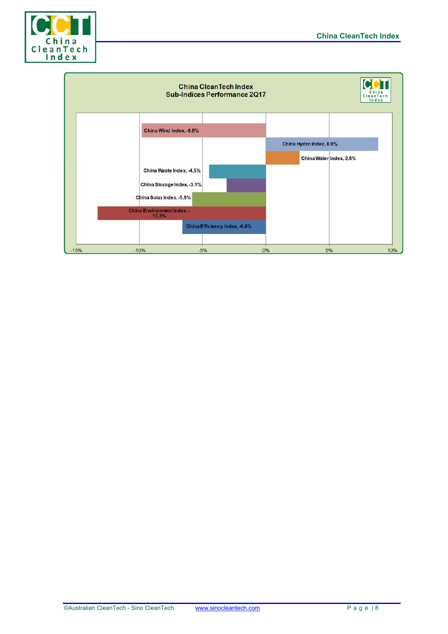